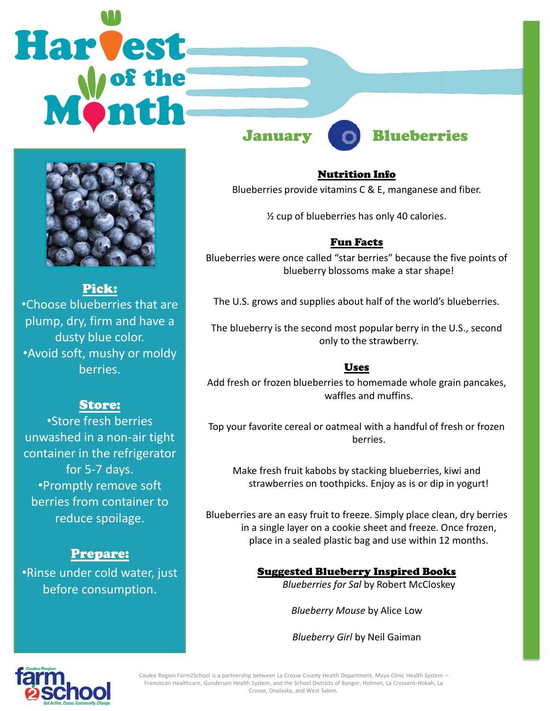# **Harvest**



#### January Blueberries



Pick: •Choose blueberries that are plump, dry, firm and have a dusty blue color. •Avoid soft, mushy or moldy berries.

#### Store:

•Store fresh berries unwashed in a non-air tight container in the refrigerator for 5-7 days. •Promptly remove soft berries from container to reduce spoilage.

#### Prepare:

•Rinse under cold water, just before consumption.

Nutrition Info

Blueberries provide vitamins C & E, manganese and fiber.

½ cup of blueberries has only 40 calories.

#### Fun Facts

Blueberries were once called "star berries" because the five points of blueberry blossoms make a star shape!

The U.S. grows and supplies about half of the world's blueberries.

The blueberry is the second most popular berry in the U.S., second only to the strawberry.

#### Uses

Add fresh or frozen blueberries to homemade whole grain pancakes, waffles and muffins.

Top your favorite cereal or oatmeal with a handful of fresh or frozen berries.

Make fresh fruit kabobs by stacking blueberries, kiwi and strawberries on toothpicks. Enjoy as is or dip in yogurt!

Blueberries are an easy fruit to freeze. Simply place clean, dry berries in a single layer on a cookie sheet and freeze. Once frozen, place in a sealed plastic bag and use within 12 months.

#### Suggested Blueberry Inspired Books

*Blueberries for Sal* by Robert McCloskey

*Blueberry Mouse* by Alice Low

*Blueberry Girl* by Neil Gaiman



Coulee Region Farm2School is a partnership between La Crosse County Health Department, Mayo Clinic Health System – Franciscan Healthcare, Gundersen Health System, and the School Districts of Bangor, Holmen, La Crescent-Hokah, La Crosse, Onalaska, and West Salem.